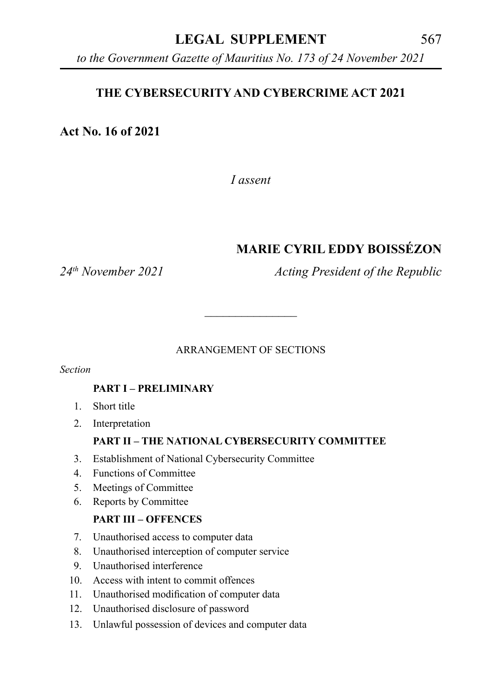## **LEGAL SUPPLEMENT** 567

*to the Government Gazette of Mauritius No. 173 of 24 November 2021*

#### **THE CYBERSECURITY AND CYBERCRIME ACT 2021**

**Act No. 16 of 2021**

*I assent*

# **MARIE CYRIL EDDY BOISSÉZON**

*24th November 2021 Acting President of the Republic*

#### ARRANGEMENT OF SECTIONS

\_\_\_\_\_\_\_\_\_\_\_\_\_\_\_

*Section*

#### **PART I – PRELIMINARY**

- 1. Short title
- 2. Interpretation

#### **PART II – THE NATIONAL CYBERSECURITY COMMITTEE**

- 3. Establishment of National Cybersecurity Committee
- 4. Functions of Committee
- 5. Meetings of Committee
- 6. Reports by Committee

#### **PART III – OFFENCES**

- 7. Unauthorised access to computer data
- 8. Unauthorised interception of computer service
- 9. Unauthorised interference
- 10. Access with intent to commit offences
- 11. Unauthorised modification of computer data
- 12. Unauthorised disclosure of password
- 13. Unlawful possession of devices and computer data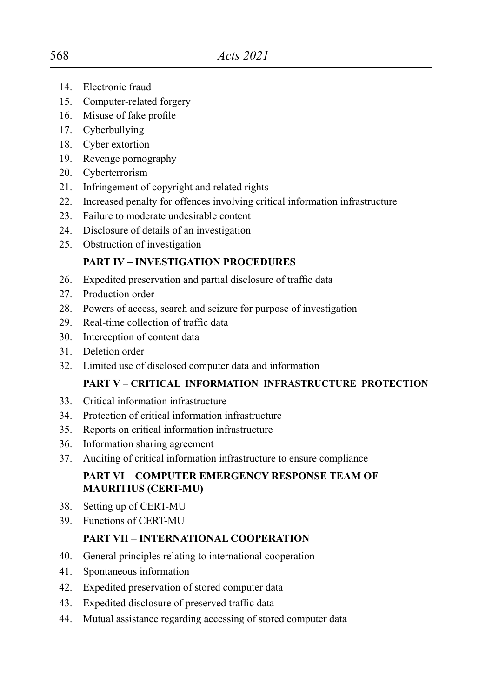- 14. Electronic fraud
- 15. Computer-related forgery
- 16. Misuse of fake profile
- 17. Cyberbullying
- 18. Cyber extortion
- 19. Revenge pornography
- 20. Cyberterrorism
- 21. Infringement of copyright and related rights
- 22. Increased penalty for offences involving critical information infrastructure
- 23. Failure to moderate undesirable content
- 24. Disclosure of details of an investigation
- 25. Obstruction of investigation

#### **PART IV – INVESTIGATION PROCEDURES**

- 26. Expedited preservation and partial disclosure of traffic data
- 27. Production order
- 28. Powers of access, search and seizure for purpose of investigation
- 29. Real-time collection of traffic data
- 30. Interception of content data
- 31. Deletion order
- 32. Limited use of disclosed computer data and information

#### **PART V – CRITICAL INFORMATION INFRASTRUCTURE PROTECTION**

- 33. Critical information infrastructure
- 34. Protection of critical information infrastructure
- 35. Reports on critical information infrastructure
- 36. Information sharing agreement
- 37. Auditing of critical information infrastructure to ensure compliance

#### **PART VI – COMPUTER EMERGENCY RESPONSE TEAM OF MAURITIUS (CERT-MU)**

- 38. Setting up of CERT-MU
- 39. Functions of CERT-MU

#### **PART VII – INTERNATIONAL COOPERATION**

- 40. General principles relating to international cooperation
- 41. Spontaneous information
- 42. Expedited preservation of stored computer data
- 43. Expedited disclosure of preserved traffic data
- 44. Mutual assistance regarding accessing of stored computer data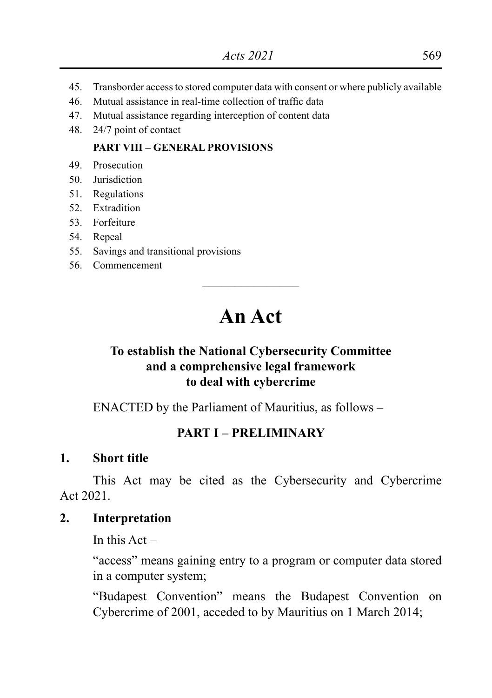- 45. Transborder access to stored computer data with consent or where publicly available
- 46. Mutual assistance in real-time collection of traffic data
- 47. Mutual assistance regarding interception of content data
- 48. 24/7 point of contact

#### **PART VIII – GENERAL PROVISIONS**

- 49. Prosecution
- 50. Jurisdiction
- 51. Regulations
- 52. Extradition
- 53. Forfeiture
- 54. Repeal
- 55. Savings and transitional provisions
- 56. Commencement

# **An Act**

\_\_\_\_\_\_\_\_\_\_\_\_\_\_\_

#### **To establish the National Cybersecurity Committee and a comprehensive legal framework to deal with cybercrime**

ENACTED by the Parliament of Mauritius, as follows –

#### **PART I – PRELIMINARY**

#### **1. Short title**

This Act may be cited as the Cybersecurity and Cybercrime Act 2021.

#### **2. Interpretation**

In this  $Act -$ 

"access" means gaining entry to a program or computer data stored in a computer system;

"Budapest Convention" means the Budapest Convention on Cybercrime of 2001, acceded to by Mauritius on 1 March 2014;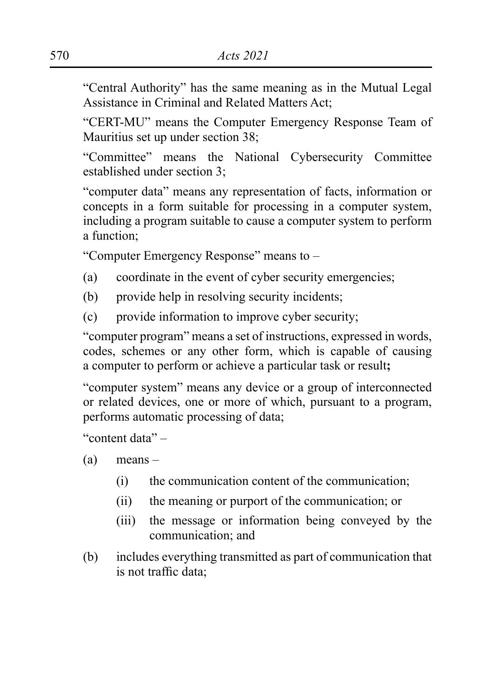"Central Authority" has the same meaning as in the Mutual Legal Assistance in Criminal and Related Matters Act;

"CERT-MU" means the Computer Emergency Response Team of Mauritius set up under section 38;

"Committee" means the National Cybersecurity Committee established under section 3;

"computer data" means any representation of facts, information or concepts in a form suitable for processing in a computer system, including a program suitable to cause a computer system to perform a function;

"Computer Emergency Response" means to –

- (a) coordinate in the event of cyber security emergencies;
- (b) provide help in resolving security incidents;
- (c) provide information to improve cyber security;

"computer program" means a set of instructions, expressed in words, codes, schemes or any other form, which is capable of causing a computer to perform or achieve a particular task or result**;**

"computer system" means any device or a group of interconnected or related devices, one or more of which, pursuant to a program, performs automatic processing of data;

"content data" –

(a) means –

- (i) the communication content of the communication;
- (ii) the meaning or purport of the communication; or
- (iii) the message or information being conveyed by the communication; and
- (b) includes everything transmitted as part of communication that is not traffic data;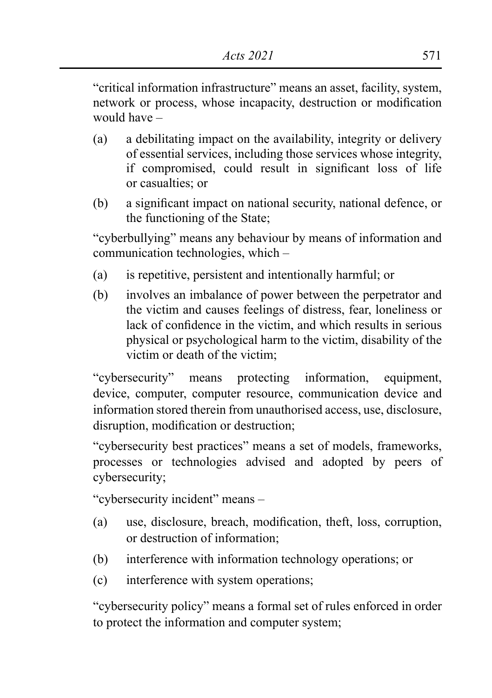"critical information infrastructure" means an asset, facility, system, network or process, whose incapacity, destruction or modification would have –

- (a) a debilitating impact on the availability, integrity or delivery of essential services, including those services whose integrity, if compromised, could result in significant loss of life or casualties; or
- (b) a significant impact on national security, national defence, or the functioning of the State;

"cyberbullying" means any behaviour by means of information and communication technologies, which –

- (a) is repetitive, persistent and intentionally harmful; or
- (b) involves an imbalance of power between the perpetrator and the victim and causes feelings of distress, fear, loneliness or lack of confidence in the victim, and which results in serious physical or psychological harm to the victim, disability of the victim or death of the victim;

"cybersecurity" means protecting information, equipment, device, computer, computer resource, communication device and information stored therein from unauthorised access, use, disclosure, disruption, modification or destruction;

"cybersecurity best practices" means a set of models, frameworks, processes or technologies advised and adopted by peers of cybersecurity;

"cybersecurity incident" means –

- (a) use, disclosure, breach, modification, theft, loss, corruption, or destruction of information;
- (b) interference with information technology operations; or
- (c) interference with system operations;

"cybersecurity policy" means a formal set of rules enforced in order to protect the information and computer system;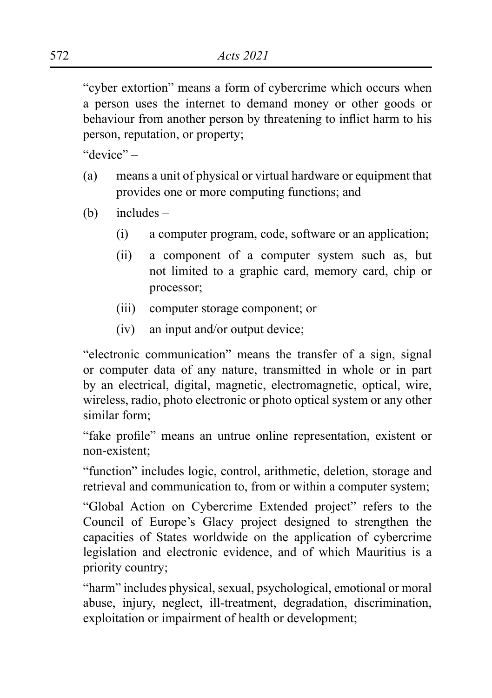"cyber extortion" means a form of cybercrime which occurs when a person uses the internet to demand money or other goods or behaviour from another person by threatening to inflict harm to his person, reputation, or property;

"device" –

- (a) means a unit of physical or virtual hardware or equipment that provides one or more computing functions; and
- (b) includes
	- (i) a computer program, code, software or an application;
	- (ii) a component of a computer system such as, but not limited to a graphic card, memory card, chip or processor;
	- (iii) computer storage component; or
	- (iv) an input and/or output device;

"electronic communication" means the transfer of a sign, signal or computer data of any nature, transmitted in whole or in part by an electrical, digital, magnetic, electromagnetic, optical, wire, wireless, radio, photo electronic or photo optical system or any other similar form;

"fake profile" means an untrue online representation, existent or non-existent;

"function" includes logic, control, arithmetic, deletion, storage and retrieval and communication to, from or within a computer system;

"Global Action on Cybercrime Extended project" refers to the Council of Europe's Glacy project designed to strengthen the capacities of States worldwide on the application of cybercrime legislation and electronic evidence, and of which Mauritius is a priority country;

"harm" includes physical, sexual, psychological, emotional or moral abuse, injury, neglect, ill-treatment, degradation, discrimination, exploitation or impairment of health or development;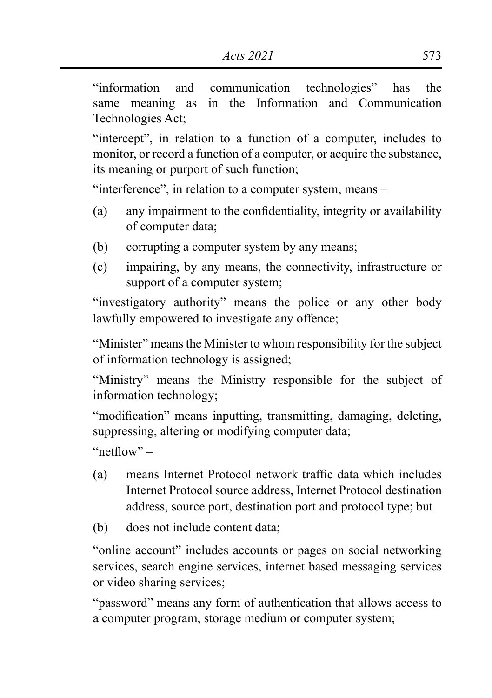"information and communication technologies" has the same meaning as in the Information and Communication Technologies Act;

"intercept", in relation to a function of a computer, includes to monitor, or record a function of a computer, or acquire the substance, its meaning or purport of such function;

"interference", in relation to a computer system, means –

- (a) any impairment to the confidentiality, integrity or availability of computer data;
- (b) corrupting a computer system by any means;
- (c) impairing, by any means, the connectivity, infrastructure or support of a computer system;

"investigatory authority" means the police or any other body lawfully empowered to investigate any offence;

"Minister" means the Minister to whom responsibility for the subject of information technology is assigned;

"Ministry" means the Ministry responsible for the subject of information technology;

"modification" means inputting, transmitting, damaging, deleting, suppressing, altering or modifying computer data;

"netflow" –

- (a) means Internet Protocol network traffic data which includes Internet Protocol source address, Internet Protocol destination address, source port, destination port and protocol type; but
- (b) does not include content data;

"online account" includes accounts or pages on social networking services, search engine services, internet based messaging services or video sharing services;

"password" means any form of authentication that allows access to a computer program, storage medium or computer system;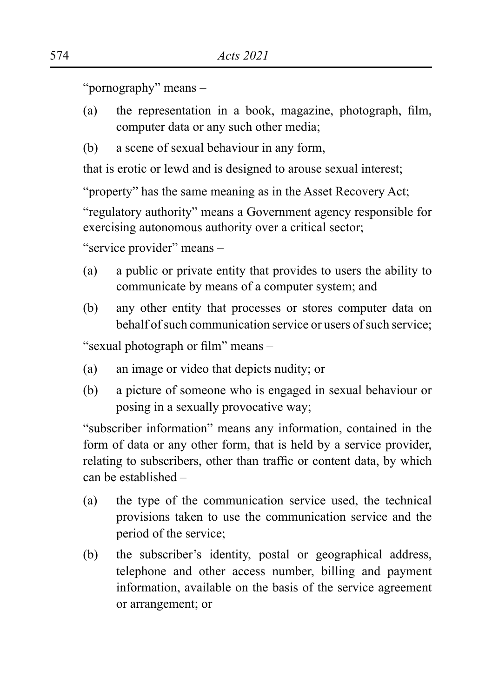"pornography" means –

- (a) the representation in a book, magazine, photograph, film, computer data or any such other media;
- (b) a scene of sexual behaviour in any form,

that is erotic or lewd and is designed to arouse sexual interest;

"property" has the same meaning as in the Asset Recovery Act;

"regulatory authority" means a Government agency responsible for exercising autonomous authority over a critical sector;

"service provider" means –

- (a) a public or private entity that provides to users the ability to communicate by means of a computer system; and
- (b) any other entity that processes or stores computer data on behalf of such communication service or users of such service;

"sexual photograph or film" means –

- (a) an image or video that depicts nudity; or
- (b) a picture of someone who is engaged in sexual behaviour or posing in a sexually provocative way;

"subscriber information" means any information, contained in the form of data or any other form, that is held by a service provider, relating to subscribers, other than traffic or content data, by which can be established –

- (a) the type of the communication service used, the technical provisions taken to use the communication service and the period of the service;
- (b) the subscriber's identity, postal or geographical address, telephone and other access number, billing and payment information, available on the basis of the service agreement or arrangement; or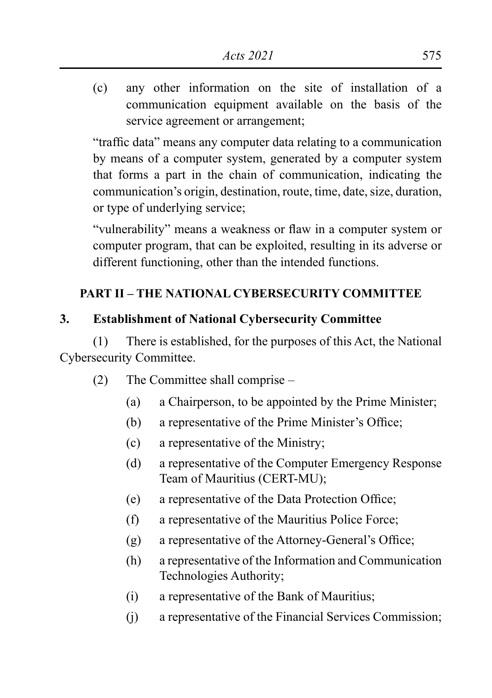(c) any other information on the site of installation of a communication equipment available on the basis of the service agreement or arrangement;

"traffic data" means any computer data relating to a communication by means of a computer system, generated by a computer system that forms a part in the chain of communication, indicating the communication's origin, destination, route, time, date, size, duration, or type of underlying service;

"vulnerability" means a weakness or flaw in a computer system or computer program, that can be exploited, resulting in its adverse or different functioning, other than the intended functions.

## **PART II – THE NATIONAL CYBERSECURITY COMMITTEE**

#### **3. Establishment of National Cybersecurity Committee**

(1) There is established, for the purposes of this Act, the National Cybersecurity Committee.

- (2) The Committee shall comprise
	- (a) a Chairperson, to be appointed by the Prime Minister;
	- (b) a representative of the Prime Minister's Office;
	- (c) a representative of the Ministry;
	- (d) a representative of the Computer Emergency Response Team of Mauritius (CERT-MU);
	- (e) a representative of the Data Protection Office;
	- (f) a representative of the Mauritius Police Force;
	- (g) a representative of the Attorney-General's Office;
	- (h) a representative of the Information and Communication Technologies Authority;
	- (i) a representative of the Bank of Mauritius;
	- (j) a representative of the Financial Services Commission;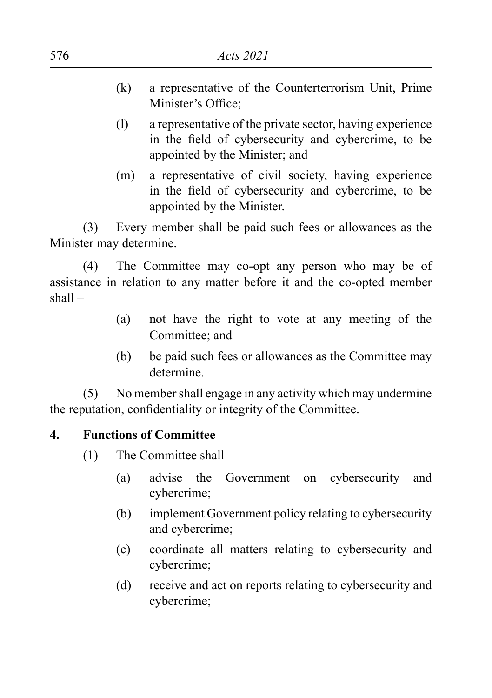- (k) a representative of the Counterterrorism Unit, Prime Minister's Office;
- (l) a representative of the private sector, having experience in the field of cybersecurity and cybercrime, to be appointed by the Minister; and
- (m) a representative of civil society, having experience in the field of cybersecurity and cybercrime, to be appointed by the Minister.

(3) Every member shall be paid such fees or allowances as the Minister may determine.

(4) The Committee may co-opt any person who may be of assistance in relation to any matter before it and the co-opted member shall –

- (a) not have the right to vote at any meeting of the Committee; and
- (b) be paid such fees or allowances as the Committee may determine.

(5) No member shall engage in any activity which may undermine the reputation, confidentiality or integrity of the Committee.

## **4. Functions of Committee**

(1) The Committee shall –

- (a) advise the Government on cybersecurity and cybercrime;
- (b) implement Government policy relating to cybersecurity and cybercrime;
- (c) coordinate all matters relating to cybersecurity and cybercrime;
- (d) receive and act on reports relating to cybersecurity and cybercrime;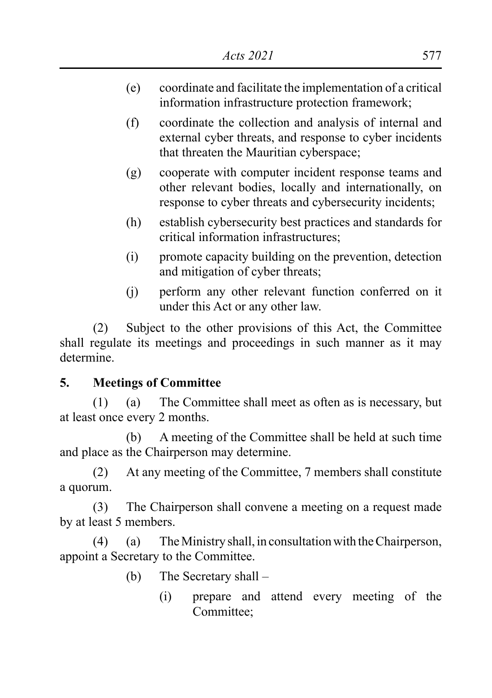- (e) coordinate and facilitate the implementation of a critical information infrastructure protection framework;
- (f) coordinate the collection and analysis of internal and external cyber threats, and response to cyber incidents that threaten the Mauritian cyberspace;
- (g) cooperate with computer incident response teams and other relevant bodies, locally and internationally, on response to cyber threats and cybersecurity incidents;
- (h) establish cybersecurity best practices and standards for critical information infrastructures;
- (i) promote capacity building on the prevention, detection and mitigation of cyber threats;
- (j) perform any other relevant function conferred on it under this Act or any other law.

(2) Subject to the other provisions of this Act, the Committee shall regulate its meetings and proceedings in such manner as it may determine.

## **5. Meetings of Committee**

(1) (a) The Committee shall meet as often as is necessary, but at least once every 2 months.

(b) A meeting of the Committee shall be held at such time and place as the Chairperson may determine.

(2) At any meeting of the Committee, 7 members shall constitute a quorum.

(3) The Chairperson shall convene a meeting on a request made by at least 5 members.

(4) (a) The Ministry shall, in consultation with the Chairperson, appoint a Secretary to the Committee.

- (b) The Secretary shall
	- (i) prepare and attend every meeting of the Committee;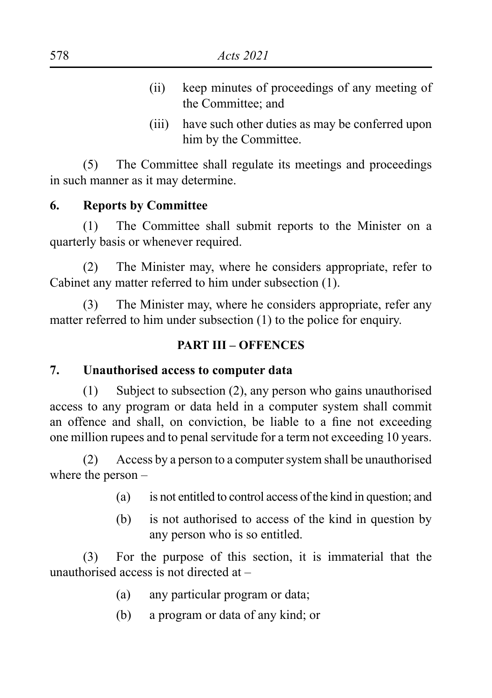- (ii) keep minutes of proceedings of any meeting of the Committee; and
- (iii) have such other duties as may be conferred upon him by the Committee.

(5) The Committee shall regulate its meetings and proceedings in such manner as it may determine.

#### **6. Reports by Committee**

(1) The Committee shall submit reports to the Minister on a quarterly basis or whenever required.

(2) The Minister may, where he considers appropriate, refer to Cabinet any matter referred to him under subsection (1).

(3) The Minister may, where he considers appropriate, refer any matter referred to him under subsection (1) to the police for enquiry.

#### **PART III – OFFENCES**

#### **7. Unauthorised access to computer data**

(1) Subject to subsection (2), any person who gains unauthorised access to any program or data held in a computer system shall commit an offence and shall, on conviction, be liable to a fine not exceeding one million rupees and to penal servitude for a term not exceeding 10 years.

(2) Access by a person to a computer system shall be unauthorised where the person –

- (a) is not entitled to control access of the kind in question; and
- (b) is not authorised to access of the kind in question by any person who is so entitled.

(3) For the purpose of this section, it is immaterial that the unauthorised access is not directed at –

- (a) any particular program or data;
- (b) a program or data of any kind; or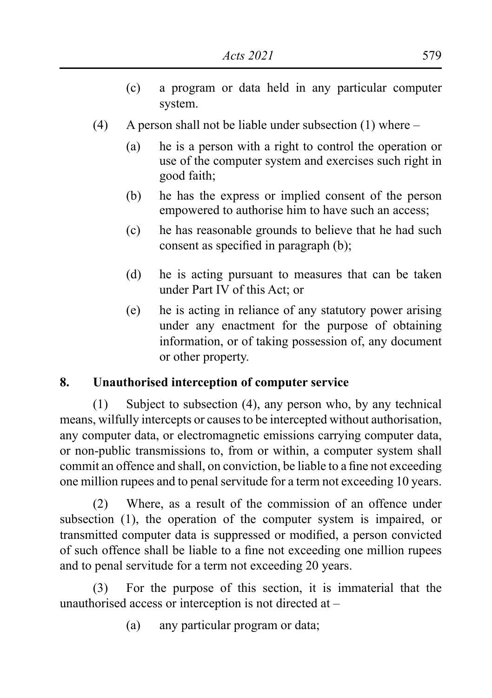- (c) a program or data held in any particular computer system.
- (4) A person shall not be liable under subsection (1) where
	- (a) he is a person with a right to control the operation or use of the computer system and exercises such right in good faith;
	- (b) he has the express or implied consent of the person empowered to authorise him to have such an access;
	- (c) he has reasonable grounds to believe that he had such consent as specified in paragraph (b);
	- (d) he is acting pursuant to measures that can be taken under Part IV of this Act; or
	- (e) he is acting in reliance of any statutory power arising under any enactment for the purpose of obtaining information, or of taking possession of, any document or other property.

## **8. Unauthorised interception of computer service**

(1) Subject to subsection (4), any person who, by any technical means, wilfully intercepts or causes to be intercepted without authorisation, any computer data, or electromagnetic emissions carrying computer data, or non-public transmissions to, from or within, a computer system shall commit an offence and shall, on conviction, be liable to a fine not exceeding one million rupees and to penal servitude for a term not exceeding 10 years.

(2) Where, as a result of the commission of an offence under subsection (1), the operation of the computer system is impaired, or transmitted computer data is suppressed or modified, a person convicted of such offence shall be liable to a fine not exceeding one million rupees and to penal servitude for a term not exceeding 20 years.

(3) For the purpose of this section, it is immaterial that the unauthorised access or interception is not directed at –

(a) any particular program or data;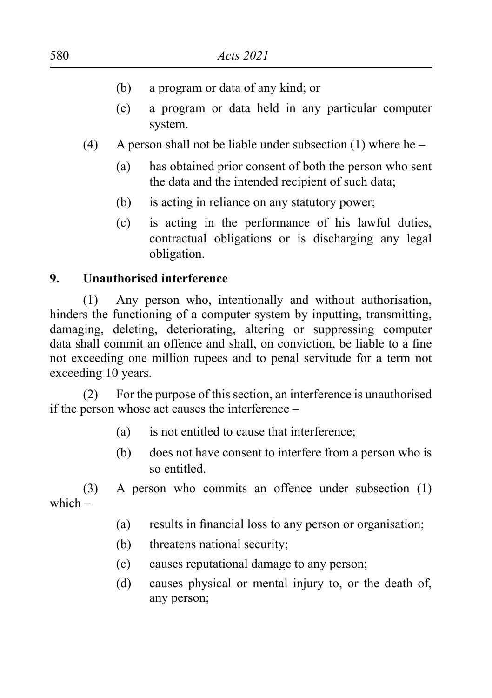- (b) a program or data of any kind; or
- (c) a program or data held in any particular computer system.
- (4) A person shall not be liable under subsection (1) where he
	- (a) has obtained prior consent of both the person who sent the data and the intended recipient of such data;
	- (b) is acting in reliance on any statutory power;
	- (c) is acting in the performance of his lawful duties, contractual obligations or is discharging any legal obligation.

#### **9. Unauthorised interference**

(1) Any person who, intentionally and without authorisation, hinders the functioning of a computer system by inputting, transmitting, damaging, deleting, deteriorating, altering or suppressing computer data shall commit an offence and shall, on conviction, be liable to a fine not exceeding one million rupees and to penal servitude for a term not exceeding 10 years.

(2) For the purpose of this section, an interference is unauthorised if the person whose act causes the interference –

- (a) is not entitled to cause that interference;
- (b) does not have consent to interfere from a person who is so entitled.

(3) A person who commits an offence under subsection (1) which –

- (a) results in financial loss to any person or organisation;
- (b) threatens national security;
- (c) causes reputational damage to any person;
- (d) causes physical or mental injury to, or the death of, any person;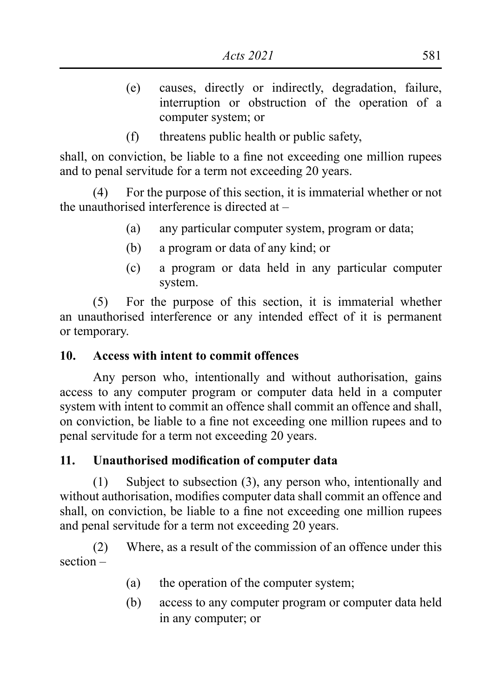- (e) causes, directly or indirectly, degradation, failure, interruption or obstruction of the operation of a computer system; or
- (f) threatens public health or public safety,

shall, on conviction, be liable to a fine not exceeding one million rupees and to penal servitude for a term not exceeding 20 years.

(4) For the purpose of this section, it is immaterial whether or not the unauthorised interference is directed at –

- (a) any particular computer system, program or data;
- (b) a program or data of any kind; or
- (c) a program or data held in any particular computer system.

(5) For the purpose of this section, it is immaterial whether an unauthorised interference or any intended effect of it is permanent or temporary.

## **10. Access with intent to commit offences**

Any person who, intentionally and without authorisation, gains access to any computer program or computer data held in a computer system with intent to commit an offence shall commit an offence and shall, on conviction, be liable to a fine not exceeding one million rupees and to penal servitude for a term not exceeding 20 years.

## **11. Unauthorised modification of computer data**

(1) Subject to subsection (3), any person who, intentionally and without authorisation, modifies computer data shall commit an offence and shall, on conviction, be liable to a fine not exceeding one million rupees and penal servitude for a term not exceeding 20 years.

(2) Where, as a result of the commission of an offence under this section –

- (a) the operation of the computer system;
- (b) access to any computer program or computer data held in any computer; or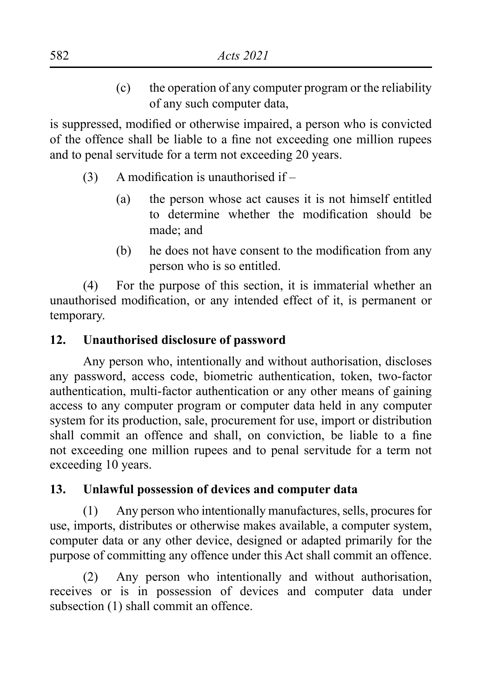(c) the operation of any computer program or the reliability of any such computer data,

is suppressed, modified or otherwise impaired, a person who is convicted of the offence shall be liable to a fine not exceeding one million rupees and to penal servitude for a term not exceeding 20 years.

- $(3)$  A modification is unauthorised if
	- (a) the person whose act causes it is not himself entitled to determine whether the modification should be made; and
	- (b) he does not have consent to the modification from any person who is so entitled.

(4) For the purpose of this section, it is immaterial whether an unauthorised modification, or any intended effect of it, is permanent or temporary.

# **12. Unauthorised disclosure of password**

Any person who, intentionally and without authorisation, discloses any password, access code, biometric authentication, token, two-factor authentication, multi-factor authentication or any other means of gaining access to any computer program or computer data held in any computer system for its production, sale, procurement for use, import or distribution shall commit an offence and shall, on conviction, be liable to a fine not exceeding one million rupees and to penal servitude for a term not exceeding 10 years.

## **13. Unlawful possession of devices and computer data**

(1) Any person who intentionally manufactures, sells, procures for use, imports, distributes or otherwise makes available, a computer system, computer data or any other device, designed or adapted primarily for the purpose of committing any offence under this Act shall commit an offence.

(2) Any person who intentionally and without authorisation, receives or is in possession of devices and computer data under subsection (1) shall commit an offence.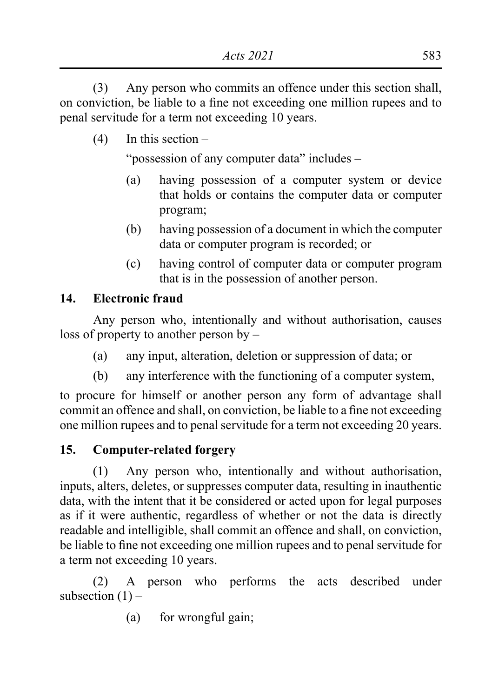(3) Any person who commits an offence under this section shall, on conviction, be liable to a fine not exceeding one million rupees and to penal servitude for a term not exceeding 10 years.

(4) In this section –

"possession of any computer data" includes –

- (a) having possession of a computer system or device that holds or contains the computer data or computer program;
- (b) having possession of a document in which the computer data or computer program is recorded; or
- (c) having control of computer data or computer program that is in the possession of another person.

## **14. Electronic fraud**

Any person who, intentionally and without authorisation, causes loss of property to another person by –

- (a) any input, alteration, deletion or suppression of data; or
- (b) any interference with the functioning of a computer system,

to procure for himself or another person any form of advantage shall commit an offence and shall, on conviction, be liable to a fine not exceeding one million rupees and to penal servitude for a term not exceeding 20 years.

# **15. Computer-related forgery**

(1) Any person who, intentionally and without authorisation, inputs, alters, deletes, or suppresses computer data, resulting in inauthentic data, with the intent that it be considered or acted upon for legal purposes as if it were authentic, regardless of whether or not the data is directly readable and intelligible, shall commit an offence and shall, on conviction, be liable to fine not exceeding one million rupees and to penal servitude for a term not exceeding 10 years.

(2) A person who performs the acts described under subsection  $(1)$  –

(a) for wrongful gain;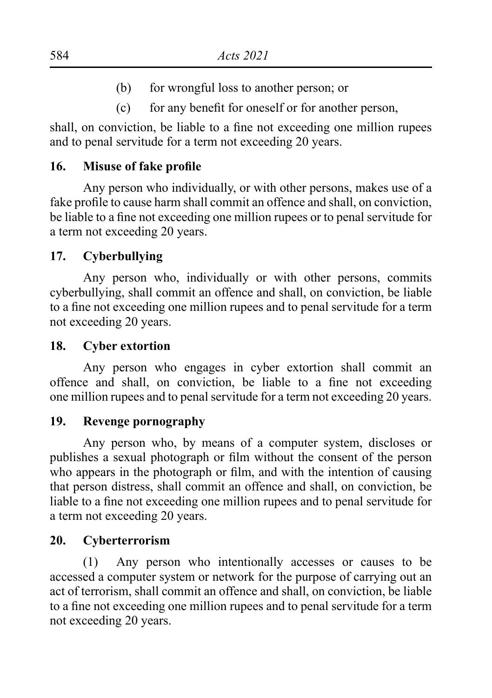- (b) for wrongful loss to another person; or
- (c) for any benefit for oneself or for another person,

shall, on conviction, be liable to a fine not exceeding one million rupees and to penal servitude for a term not exceeding 20 years.

#### **16. Misuse of fake profile**

Any person who individually, or with other persons, makes use of a fake profile to cause harm shall commit an offence and shall, on conviction, be liable to a fine not exceeding one million rupees or to penal servitude for a term not exceeding 20 years.

#### **17. Cyberbullying**

Any person who, individually or with other persons, commits cyberbullying, shall commit an offence and shall, on conviction, be liable to a fine not exceeding one million rupees and to penal servitude for a term not exceeding 20 years.

#### **18. Cyber extortion**

Any person who engages in cyber extortion shall commit an offence and shall, on conviction, be liable to a fine not exceeding one million rupees and to penal servitude for a term not exceeding 20 years.

#### **19. Revenge pornography**

Any person who, by means of a computer system, discloses or publishes a sexual photograph or film without the consent of the person who appears in the photograph or film, and with the intention of causing that person distress, shall commit an offence and shall, on conviction, be liable to a fine not exceeding one million rupees and to penal servitude for a term not exceeding 20 years.

#### **20. Cyberterrorism**

(1) Any person who intentionally accesses or causes to be accessed a computer system or network for the purpose of carrying out an act of terrorism, shall commit an offence and shall, on conviction, be liable to a fine not exceeding one million rupees and to penal servitude for a term not exceeding 20 years.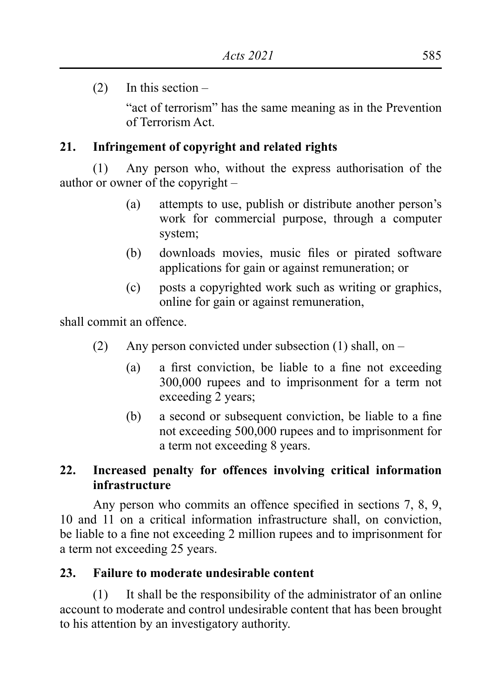(2) In this section –

"act of terrorism" has the same meaning as in the Prevention of Terrorism Act.

# **21. Infringement of copyright and related rights**

(1) Any person who, without the express authorisation of the author or owner of the copyright –

- (a) attempts to use, publish or distribute another person's work for commercial purpose, through a computer system;
- (b) downloads movies, music files or pirated software applications for gain or against remuneration; or
- (c) posts a copyrighted work such as writing or graphics, online for gain or against remuneration,

shall commit an offence.

- (2) Any person convicted under subsection (1) shall, on
	- (a) a first conviction, be liable to a fine not exceeding 300,000 rupees and to imprisonment for a term not exceeding 2 years;
	- (b) a second or subsequent conviction, be liable to a fine not exceeding 500,000 rupees and to imprisonment for a term not exceeding 8 years.

# **22. Increased penalty for offences involving critical information infrastructure**

Any person who commits an offence specified in sections 7, 8, 9, 10 and 11 on a critical information infrastructure shall, on conviction, be liable to a fine not exceeding 2 million rupees and to imprisonment for a term not exceeding 25 years.

# **23. Failure to moderate undesirable content**

(1) It shall be the responsibility of the administrator of an online account to moderate and control undesirable content that has been brought to his attention by an investigatory authority.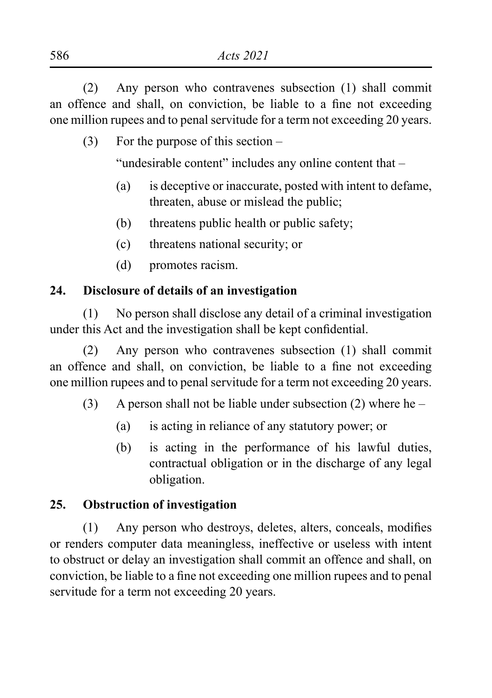(2) Any person who contravenes subsection (1) shall commit an offence and shall, on conviction, be liable to a fine not exceeding one million rupees and to penal servitude for a term not exceeding 20 years.

(3) For the purpose of this section –

"undesirable content" includes any online content that –

- (a) is deceptive or inaccurate, posted with intent to defame, threaten, abuse or mislead the public;
- (b) threatens public health or public safety;
- (c) threatens national security; or
- (d) promotes racism.

# **24. Disclosure of details of an investigation**

(1) No person shall disclose any detail of a criminal investigation under this Act and the investigation shall be kept confidential.

(2) Any person who contravenes subsection (1) shall commit an offence and shall, on conviction, be liable to a fine not exceeding one million rupees and to penal servitude for a term not exceeding 20 years.

- (3) A person shall not be liable under subsection (2) where he
	- (a) is acting in reliance of any statutory power; or
	- (b) is acting in the performance of his lawful duties, contractual obligation or in the discharge of any legal obligation.

# **25. Obstruction of investigation**

(1) Any person who destroys, deletes, alters, conceals, modifies or renders computer data meaningless, ineffective or useless with intent to obstruct or delay an investigation shall commit an offence and shall, on conviction, be liable to a fine not exceeding one million rupees and to penal servitude for a term not exceeding 20 years.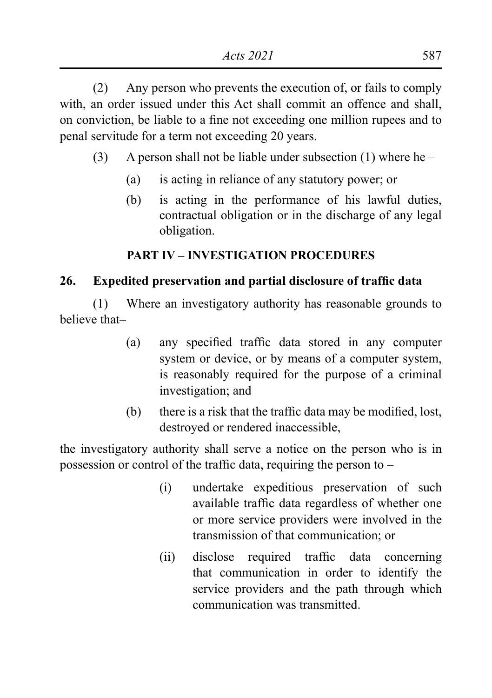(2) Any person who prevents the execution of, or fails to comply with, an order issued under this Act shall commit an offence and shall, on conviction, be liable to a fine not exceeding one million rupees and to penal servitude for a term not exceeding 20 years.

- (3) A person shall not be liable under subsection (1) where he
	- (a) is acting in reliance of any statutory power; or
	- (b) is acting in the performance of his lawful duties, contractual obligation or in the discharge of any legal obligation.

## **PART IV – INVESTIGATION PROCEDURES**

## **26. Expedited preservation and partial disclosure of traffic data**

(1) Where an investigatory authority has reasonable grounds to believe that–

- (a) any specified traffic data stored in any computer system or device, or by means of a computer system, is reasonably required for the purpose of a criminal investigation; and
- (b) there is a risk that the traffic data may be modified, lost, destroyed or rendered inaccessible,

the investigatory authority shall serve a notice on the person who is in possession or control of the traffic data, requiring the person to  $-$ 

- (i) undertake expeditious preservation of such available traffic data regardless of whether one or more service providers were involved in the transmission of that communication; or
- (ii) disclose required traffic data concerning that communication in order to identify the service providers and the path through which communication was transmitted.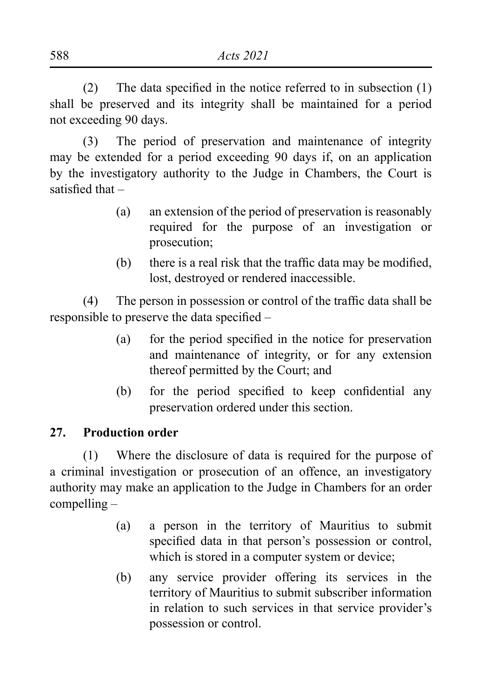(2) The data specified in the notice referred to in subsection  $(1)$ shall be preserved and its integrity shall be maintained for a period not exceeding 90 days.

(3) The period of preservation and maintenance of integrity may be extended for a period exceeding 90 days if, on an application by the investigatory authority to the Judge in Chambers, the Court is satisfied that –

- (a) an extension of the period of preservation is reasonably required for the purpose of an investigation or prosecution;
- (b) there is a real risk that the traffic data may be modified, lost, destroyed or rendered inaccessible.

(4) The person in possession or control of the traffic data shall be responsible to preserve the data specified –

- (a) for the period specified in the notice for preservation and maintenance of integrity, or for any extension thereof permitted by the Court; and
- (b) for the period specified to keep confidential any preservation ordered under this section.

## **27. Production order**

(1) Where the disclosure of data is required for the purpose of a criminal investigation or prosecution of an offence, an investigatory authority may make an application to the Judge in Chambers for an order compelling –

- (a) a person in the territory of Mauritius to submit specified data in that person's possession or control, which is stored in a computer system or device;
- (b) any service provider offering its services in the territory of Mauritius to submit subscriber information in relation to such services in that service provider's possession or control.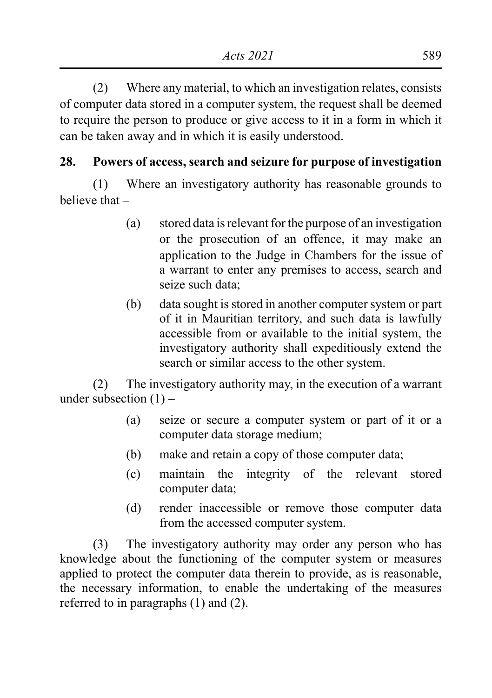(2) Where any material, to which an investigation relates, consists of computer data stored in a computer system, the request shall be deemed to require the person to produce or give access to it in a form in which it can be taken away and in which it is easily understood.

# **28. Powers of access, search and seizure for purpose of investigation**

(1) Where an investigatory authority has reasonable grounds to believe that –

- (a) stored data is relevant for the purpose of an investigation or the prosecution of an offence, it may make an application to the Judge in Chambers for the issue of a warrant to enter any premises to access, search and seize such data:
- (b) data sought is stored in another computer system or part of it in Mauritian territory, and such data is lawfully accessible from or available to the initial system, the investigatory authority shall expeditiously extend the search or similar access to the other system.

(2) The investigatory authority may, in the execution of a warrant under subsection  $(1)$  –

- (a) seize or secure a computer system or part of it or a computer data storage medium;
- (b) make and retain a copy of those computer data;
- (c) maintain the integrity of the relevant stored computer data;
- (d) render inaccessible or remove those computer data from the accessed computer system.

(3) The investigatory authority may order any person who has knowledge about the functioning of the computer system or measures applied to protect the computer data therein to provide, as is reasonable, the necessary information, to enable the undertaking of the measures referred to in paragraphs (1) and (2).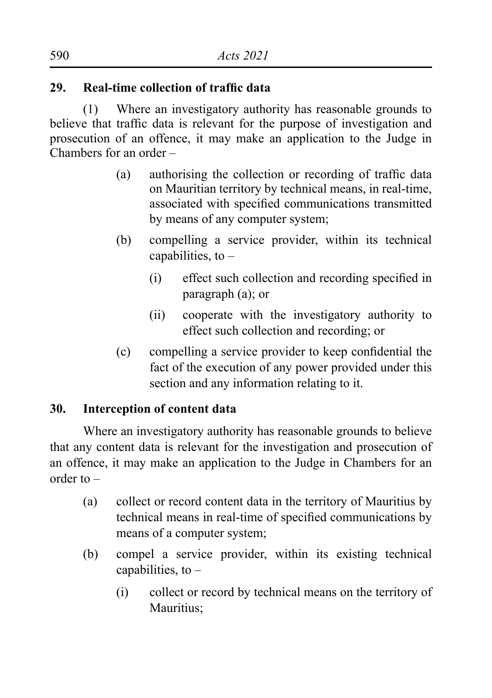#### **29. Real-time collection of traffic data**

(1) Where an investigatory authority has reasonable grounds to believe that traffic data is relevant for the purpose of investigation and prosecution of an offence, it may make an application to the Judge in Chambers for an order –

- (a) authorising the collection or recording of traffic data on Mauritian territory by technical means, in real-time, associated with specified communications transmitted by means of any computer system;
- (b) compelling a service provider, within its technical capabilities, to  $-$ 
	- (i) effect such collection and recording specified in paragraph (a); or
	- (ii) cooperate with the investigatory authority to effect such collection and recording; or
- (c) compelling a service provider to keep confidential the fact of the execution of any power provided under this section and any information relating to it.

## **30. Interception of content data**

Where an investigatory authority has reasonable grounds to believe that any content data is relevant for the investigation and prosecution of an offence, it may make an application to the Judge in Chambers for an order to –

- (a) collect or record content data in the territory of Mauritius by technical means in real-time of specified communications by means of a computer system;
- (b) compel a service provider, within its existing technical capabilities, to  $-$ 
	- (i) collect or record by technical means on the territory of Mauritius<sup>:</sup>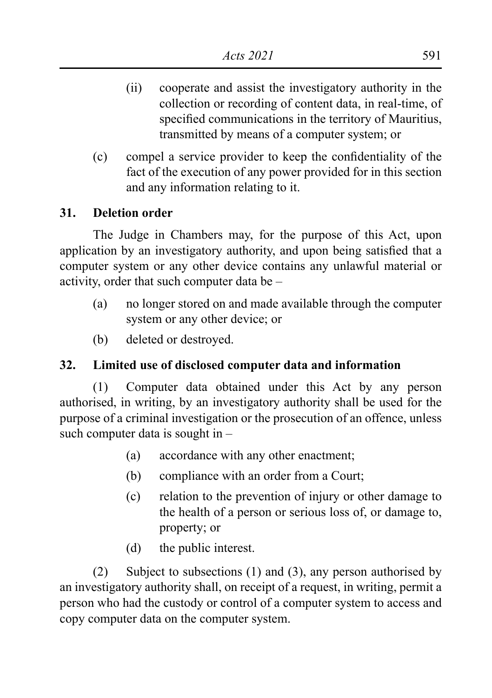- (ii) cooperate and assist the investigatory authority in the collection or recording of content data, in real-time, of specified communications in the territory of Mauritius, transmitted by means of a computer system; or
- (c) compel a service provider to keep the confidentiality of the fact of the execution of any power provided for in this section and any information relating to it.

#### **31. Deletion order**

The Judge in Chambers may, for the purpose of this Act, upon application by an investigatory authority, and upon being satisfied that a computer system or any other device contains any unlawful material or activity, order that such computer data be –

- (a) no longer stored on and made available through the computer system or any other device; or
- (b) deleted or destroyed.

## **32. Limited use of disclosed computer data and information**

(1) Computer data obtained under this Act by any person authorised, in writing, by an investigatory authority shall be used for the purpose of a criminal investigation or the prosecution of an offence, unless such computer data is sought in –

- (a) accordance with any other enactment;
- (b) compliance with an order from a Court;
- (c) relation to the prevention of injury or other damage to the health of a person or serious loss of, or damage to, property; or
- (d) the public interest.

(2) Subject to subsections (1) and (3), any person authorised by an investigatory authority shall, on receipt of a request, in writing, permit a person who had the custody or control of a computer system to access and copy computer data on the computer system.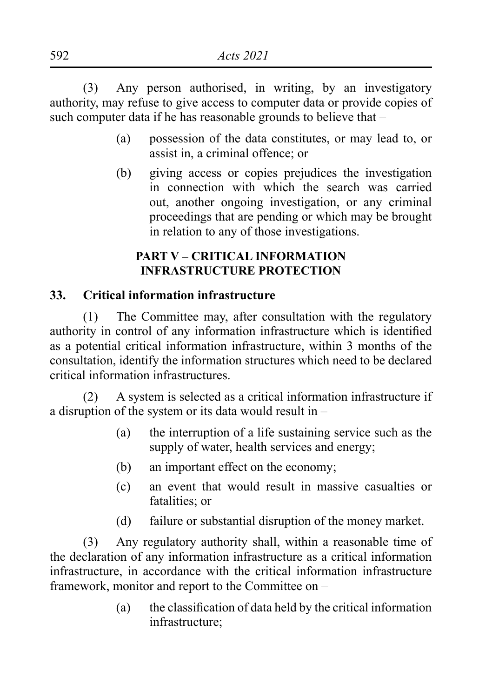(3) Any person authorised, in writing, by an investigatory authority, may refuse to give access to computer data or provide copies of such computer data if he has reasonable grounds to believe that  $-$ 

- (a) possession of the data constitutes, or may lead to, or assist in, a criminal offence; or
- (b) giving access or copies prejudices the investigation in connection with which the search was carried out, another ongoing investigation, or any criminal proceedings that are pending or which may be brought in relation to any of those investigations.

# **PART V – CRITICAL INFORMATION INFRASTRUCTURE PROTECTION**

#### **33. Critical information infrastructure**

(1) The Committee may, after consultation with the regulatory authority in control of any information infrastructure which is identified as a potential critical information infrastructure, within 3 months of the consultation, identify the information structures which need to be declared critical information infrastructures.

(2) A system is selected as a critical information infrastructure if a disruption of the system or its data would result in –

- (a) the interruption of a life sustaining service such as the supply of water, health services and energy;
- (b) an important effect on the economy;
- (c) an event that would result in massive casualties or fatalities; or
- (d) failure or substantial disruption of the money market.

(3) Any regulatory authority shall, within a reasonable time of the declaration of any information infrastructure as a critical information infrastructure, in accordance with the critical information infrastructure framework, monitor and report to the Committee on –

> (a) the classification of data held by the critical information infrastructure;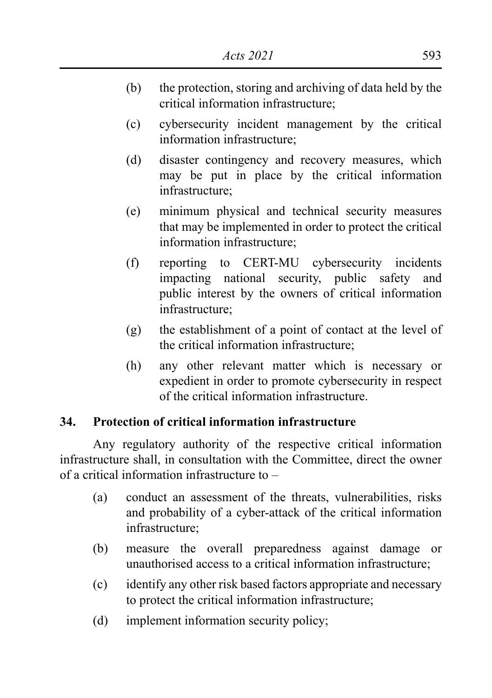- (b) the protection, storing and archiving of data held by the critical information infrastructure;
- (c) cybersecurity incident management by the critical information infrastructure;
- (d) disaster contingency and recovery measures, which may be put in place by the critical information infrastructure;
- (e) minimum physical and technical security measures that may be implemented in order to protect the critical information infrastructure;
- (f) reporting to CERT-MU cybersecurity incidents impacting national security, public safety and public interest by the owners of critical information infrastructure;
- (g) the establishment of a point of contact at the level of the critical information infrastructure;
- (h) any other relevant matter which is necessary or expedient in order to promote cybersecurity in respect of the critical information infrastructure.

#### **34. Protection of critical information infrastructure**

Any regulatory authority of the respective critical information infrastructure shall, in consultation with the Committee, direct the owner of a critical information infrastructure to –

- (a) conduct an assessment of the threats, vulnerabilities, risks and probability of a cyber-attack of the critical information infrastructure;
- (b) measure the overall preparedness against damage or unauthorised access to a critical information infrastructure;
- (c) identify any other risk based factors appropriate and necessary to protect the critical information infrastructure;
- (d) implement information security policy;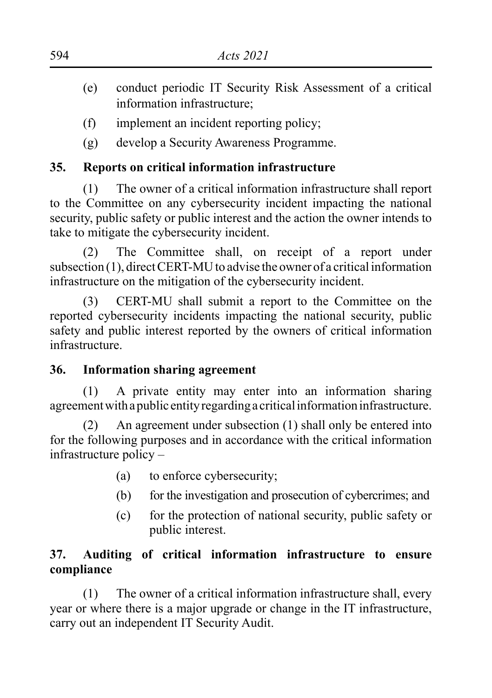- (e) conduct periodic IT Security Risk Assessment of a critical information infrastructure;
- (f) implement an incident reporting policy;
- (g) develop a Security Awareness Programme.

# **35. Reports on critical information infrastructure**

(1) The owner of a critical information infrastructure shall report to the Committee on any cybersecurity incident impacting the national security, public safety or public interest and the action the owner intends to take to mitigate the cybersecurity incident.

(2) The Committee shall, on receipt of a report under subsection (1), direct CERT-MU to advise the owner of a critical information infrastructure on the mitigation of the cybersecurity incident.

(3) CERT-MU shall submit a report to the Committee on the reported cybersecurity incidents impacting the national security, public safety and public interest reported by the owners of critical information infrastructure.

# **36. Information sharing agreement**

(1) A private entity may enter into an information sharing agreement with a public entity regarding a critical information infrastructure.

(2) An agreement under subsection (1) shall only be entered into for the following purposes and in accordance with the critical information infrastructure policy –

- (a) to enforce cybersecurity;
- (b) for the investigation and prosecution of cybercrimes; and
- (c) for the protection of national security, public safety or public interest.

# **37. Auditing of critical information infrastructure to ensure compliance**

(1) The owner of a critical information infrastructure shall, every year or where there is a major upgrade or change in the IT infrastructure, carry out an independent IT Security Audit.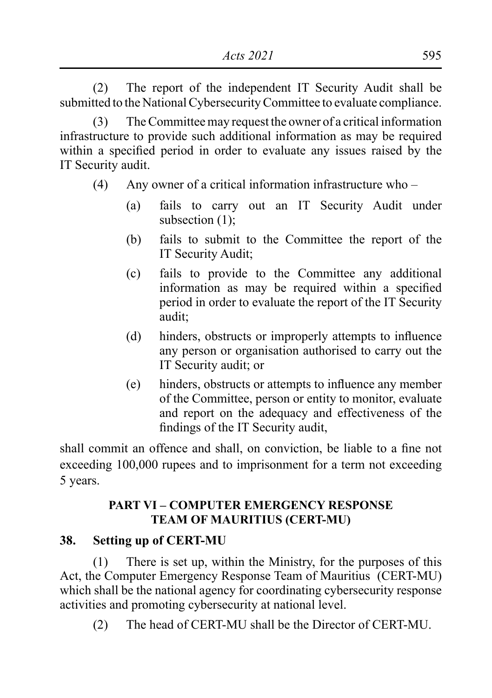(2) The report of the independent IT Security Audit shall be submitted to the National Cybersecurity Committee to evaluate compliance.

(3) The Committee may request the owner of a critical information infrastructure to provide such additional information as may be required within a specified period in order to evaluate any issues raised by the IT Security audit.

- (4) Any owner of a critical information infrastructure who
	- (a) fails to carry out an IT Security Audit under subsection  $(1)$ ;
	- (b) fails to submit to the Committee the report of the IT Security Audit;
	- (c) fails to provide to the Committee any additional information as may be required within a specified period in order to evaluate the report of the IT Security audit;
	- (d) hinders, obstructs or improperly attempts to influence any person or organisation authorised to carry out the IT Security audit; or
	- (e) hinders, obstructs or attempts to influence any member of the Committee, person or entity to monitor, evaluate and report on the adequacy and effectiveness of the findings of the IT Security audit,

shall commit an offence and shall, on conviction, be liable to a fine not exceeding 100,000 rupees and to imprisonment for a term not exceeding 5 years.

# **PART VI – COMPUTER EMERGENCY RESPONSE TEAM OF MAURITIUS (CERT-MU)**

## **38. Setting up of CERT-MU**

(1) There is set up, within the Ministry, for the purposes of this Act, the Computer Emergency Response Team of Mauritius (CERT-MU) which shall be the national agency for coordinating cybersecurity response activities and promoting cybersecurity at national level.

(2) The head of CERT-MU shall be the Director of CERT-MU.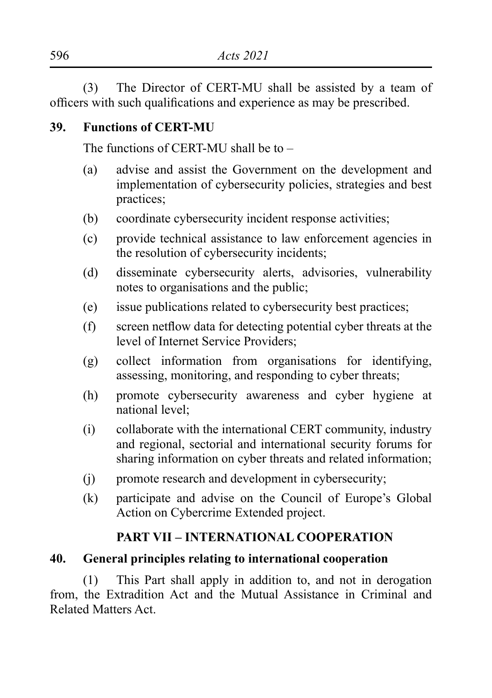(3) The Director of CERT-MU shall be assisted by a team of officers with such qualifications and experience as may be prescribed.

#### **39. Functions of CERT-MU**

The functions of CERT-MU shall be to –

- (a) advise and assist the Government on the development and implementation of cybersecurity policies, strategies and best practices;
- (b) coordinate cybersecurity incident response activities;
- (c) provide technical assistance to law enforcement agencies in the resolution of cybersecurity incidents;
- (d) disseminate cybersecurity alerts, advisories, vulnerability notes to organisations and the public;
- (e) issue publications related to cybersecurity best practices;
- (f) screen netflow data for detecting potential cyber threats at the level of Internet Service Providers;
- (g) collect information from organisations for identifying, assessing, monitoring, and responding to cyber threats;
- (h) promote cybersecurity awareness and cyber hygiene at national level;
- (i) collaborate with the international CERT community, industry and regional, sectorial and international security forums for sharing information on cyber threats and related information;
- (j) promote research and development in cybersecurity;
- (k) participate and advise on the Council of Europe's Global Action on Cybercrime Extended project.

## **PART VII – INTERNATIONAL COOPERATION**

#### **40. General principles relating to international cooperation**

(1) This Part shall apply in addition to, and not in derogation from, the Extradition Act and the Mutual Assistance in Criminal and Related Matters Act.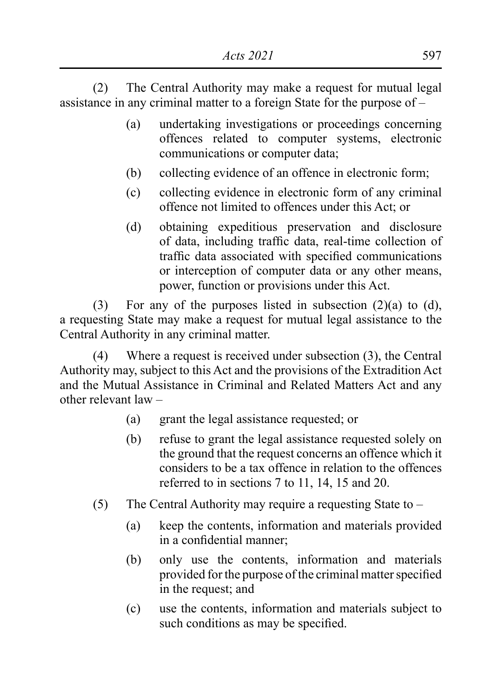(2) The Central Authority may make a request for mutual legal assistance in any criminal matter to a foreign State for the purpose of –

- (a) undertaking investigations or proceedings concerning offences related to computer systems, electronic communications or computer data;
- (b) collecting evidence of an offence in electronic form;
- (c) collecting evidence in electronic form of any criminal offence not limited to offences under this Act; or
- (d) obtaining expeditious preservation and disclosure of data, including traffic data, real-time collection of traffic data associated with specified communications or interception of computer data or any other means, power, function or provisions under this Act.

(3) For any of the purposes listed in subsection (2)(a) to (d), a requesting State may make a request for mutual legal assistance to the Central Authority in any criminal matter.

(4) Where a request is received under subsection (3), the Central Authority may, subject to this Act and the provisions of the Extradition Act and the Mutual Assistance in Criminal and Related Matters Act and any other relevant law –

- (a) grant the legal assistance requested; or
- (b) refuse to grant the legal assistance requested solely on the ground that the request concerns an offence which it considers to be a tax offence in relation to the offences referred to in sections 7 to 11, 14, 15 and 20.
- (5) The Central Authority may require a requesting State to
	- (a) keep the contents, information and materials provided in a confidential manner;
	- (b) only use the contents, information and materials provided for the purpose of the criminal matter specified in the request; and
	- (c) use the contents, information and materials subject to such conditions as may be specified.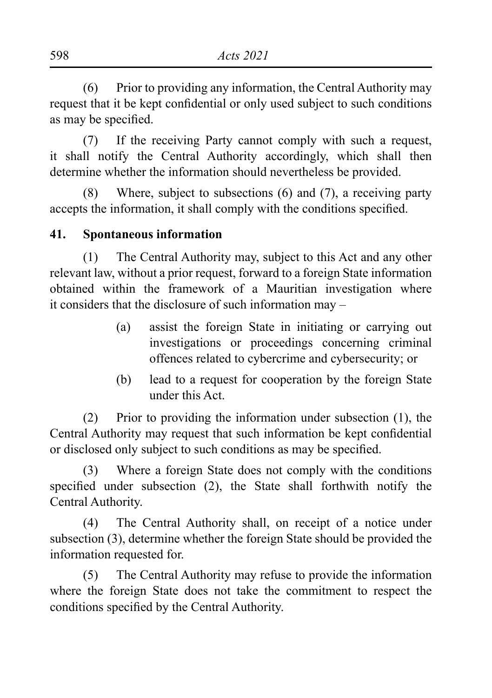(6) Prior to providing any information, the Central Authority may request that it be kept confidential or only used subject to such conditions as may be specified.

(7) If the receiving Party cannot comply with such a request, it shall notify the Central Authority accordingly, which shall then determine whether the information should nevertheless be provided.

(8) Where, subject to subsections (6) and (7), a receiving party accepts the information, it shall comply with the conditions specified.

#### **41. Spontaneous information**

(1) The Central Authority may, subject to this Act and any other relevant law, without a prior request, forward to a foreign State information obtained within the framework of a Mauritian investigation where it considers that the disclosure of such information may –

- (a) assist the foreign State in initiating or carrying out investigations or proceedings concerning criminal offences related to cybercrime and cybersecurity; or
- (b) lead to a request for cooperation by the foreign State under this Act.

(2) Prior to providing the information under subsection (1), the Central Authority may request that such information be kept confidential or disclosed only subject to such conditions as may be specified.

(3) Where a foreign State does not comply with the conditions specified under subsection (2), the State shall forthwith notify the Central Authority.

(4) The Central Authority shall, on receipt of a notice under subsection (3), determine whether the foreign State should be provided the information requested for.

(5) The Central Authority may refuse to provide the information where the foreign State does not take the commitment to respect the conditions specified by the Central Authority.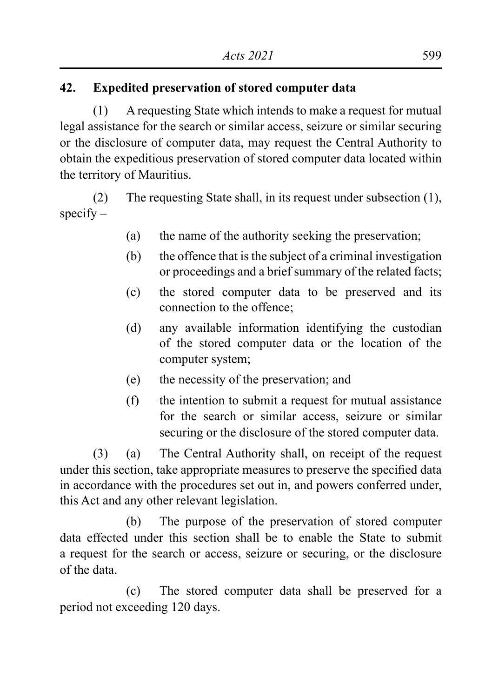# **42. Expedited preservation of stored computer data**

(1) A requesting State which intends to make a request for mutual legal assistance for the search or similar access, seizure or similar securing or the disclosure of computer data, may request the Central Authority to obtain the expeditious preservation of stored computer data located within the territory of Mauritius.

(2) The requesting State shall, in its request under subsection (1),  $specifv -$ 

- (a) the name of the authority seeking the preservation;
- (b) the offence that is the subject of a criminal investigation or proceedings and a brief summary of the related facts;
- (c) the stored computer data to be preserved and its connection to the offence;
- (d) any available information identifying the custodian of the stored computer data or the location of the computer system;
- (e) the necessity of the preservation; and
- (f) the intention to submit a request for mutual assistance for the search or similar access, seizure or similar securing or the disclosure of the stored computer data.

(3) (a) The Central Authority shall, on receipt of the request under this section, take appropriate measures to preserve the specified data in accordance with the procedures set out in, and powers conferred under, this Act and any other relevant legislation.

(b) The purpose of the preservation of stored computer data effected under this section shall be to enable the State to submit a request for the search or access, seizure or securing, or the disclosure of the data.

(c) The stored computer data shall be preserved for a period not exceeding 120 days.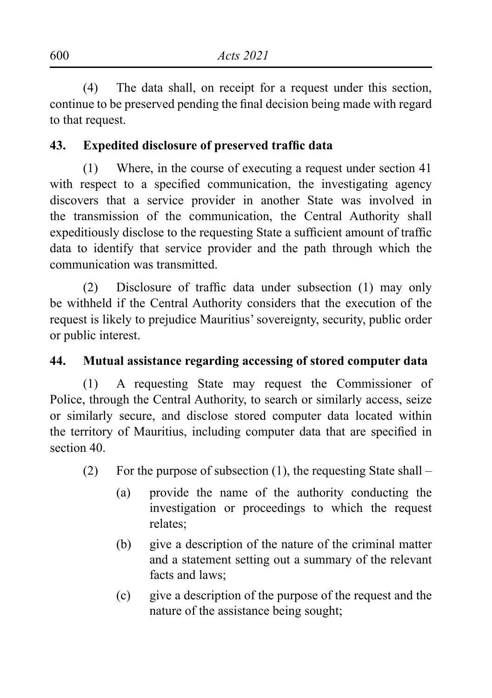(4) The data shall, on receipt for a request under this section, continue to be preserved pending the final decision being made with regard to that request.

# **43. Expedited disclosure of preserved traffic data**

(1) Where, in the course of executing a request under section 41 with respect to a specified communication, the investigating agency discovers that a service provider in another State was involved in the transmission of the communication, the Central Authority shall expeditiously disclose to the requesting State a sufficient amount of traffic data to identify that service provider and the path through which the communication was transmitted.

(2) Disclosure of traffic data under subsection (1) may only be withheld if the Central Authority considers that the execution of the request is likely to prejudice Mauritius' sovereignty, security, public order or public interest.

## **44. Mutual assistance regarding accessing of stored computer data**

(1) A requesting State may request the Commissioner of Police, through the Central Authority, to search or similarly access, seize or similarly secure, and disclose stored computer data located within the territory of Mauritius, including computer data that are specified in section 40.

- (2) For the purpose of subsection  $(1)$ , the requesting State shall
	- (a) provide the name of the authority conducting the investigation or proceedings to which the request relates;
	- (b) give a description of the nature of the criminal matter and a statement setting out a summary of the relevant facts and laws;
	- (c) give a description of the purpose of the request and the nature of the assistance being sought;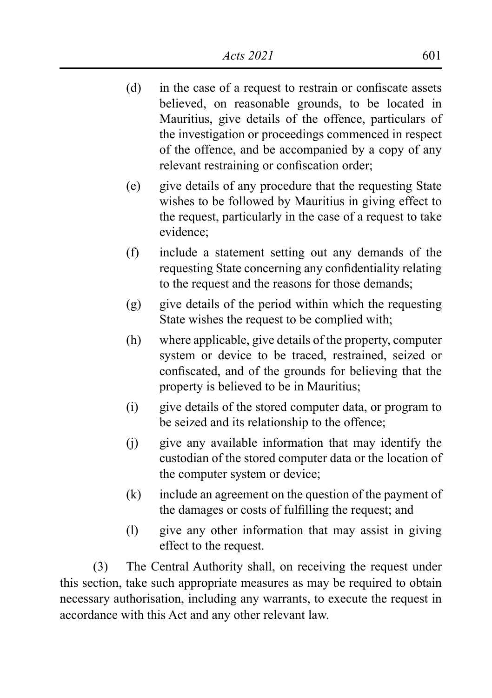- (d) in the case of a request to restrain or confiscate assets believed, on reasonable grounds, to be located in Mauritius, give details of the offence, particulars of the investigation or proceedings commenced in respect of the offence, and be accompanied by a copy of any relevant restraining or confiscation order;
- (e) give details of any procedure that the requesting State wishes to be followed by Mauritius in giving effect to the request, particularly in the case of a request to take evidence;
- (f) include a statement setting out any demands of the requesting State concerning any confidentiality relating to the request and the reasons for those demands;
- (g) give details of the period within which the requesting State wishes the request to be complied with;
- (h) where applicable, give details of the property, computer system or device to be traced, restrained, seized or confiscated, and of the grounds for believing that the property is believed to be in Mauritius;
- (i) give details of the stored computer data, or program to be seized and its relationship to the offence;
- (j) give any available information that may identify the custodian of the stored computer data or the location of the computer system or device;
- (k) include an agreement on the question of the payment of the damages or costs of fulfilling the request; and
- (l) give any other information that may assist in giving effect to the request.

(3) The Central Authority shall, on receiving the request under this section, take such appropriate measures as may be required to obtain necessary authorisation, including any warrants, to execute the request in accordance with this Act and any other relevant law.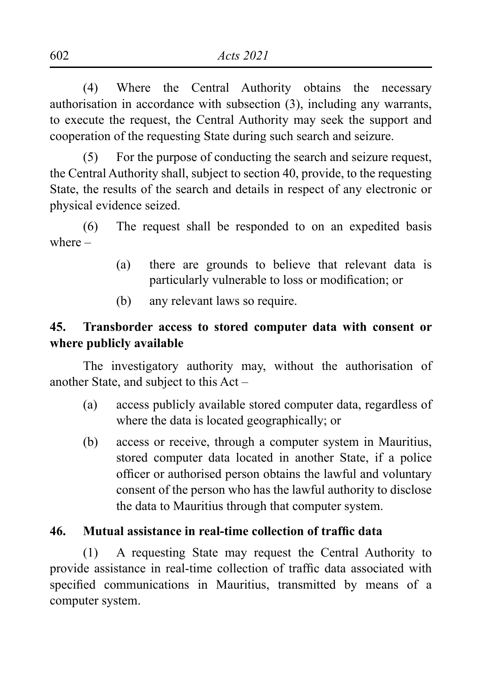(4) Where the Central Authority obtains the necessary authorisation in accordance with subsection (3), including any warrants, to execute the request, the Central Authority may seek the support and cooperation of the requesting State during such search and seizure.

(5) For the purpose of conducting the search and seizure request, the Central Authority shall, subject to section 40, provide, to the requesting State, the results of the search and details in respect of any electronic or physical evidence seized.

(6) The request shall be responded to on an expedited basis where –

- (a) there are grounds to believe that relevant data is particularly vulnerable to loss or modification; or
- (b) any relevant laws so require.

## **45. Transborder access to stored computer data with consent or where publicly available**

The investigatory authority may, without the authorisation of another State, and subject to this Act –

- (a) access publicly available stored computer data, regardless of where the data is located geographically; or
- (b) access or receive, through a computer system in Mauritius, stored computer data located in another State, if a police officer or authorised person obtains the lawful and voluntary consent of the person who has the lawful authority to disclose the data to Mauritius through that computer system.

# **46. Mutual assistance in real-time collection of traffic data**

(1) A requesting State may request the Central Authority to provide assistance in real-time collection of traffic data associated with specified communications in Mauritius, transmitted by means of a computer system.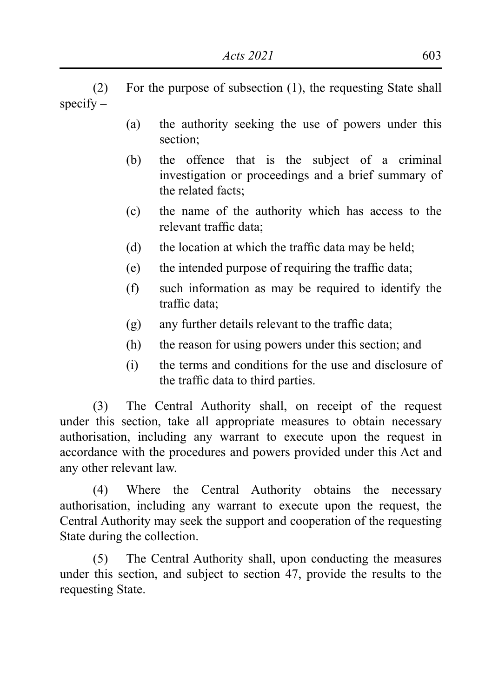(2) For the purpose of subsection (1), the requesting State shall  $specifv -$ 

- (a) the authority seeking the use of powers under this section;
- (b) the offence that is the subject of a criminal investigation or proceedings and a brief summary of the related facts;
- (c) the name of the authority which has access to the relevant traffic data;
- (d) the location at which the traffic data may be held;
- (e) the intended purpose of requiring the traffic data;
- (f) such information as may be required to identify the traffic data;
- $(g)$  any further details relevant to the traffic data;
- (h) the reason for using powers under this section; and
- (i) the terms and conditions for the use and disclosure of the traffic data to third parties.

(3) The Central Authority shall, on receipt of the request under this section, take all appropriate measures to obtain necessary authorisation, including any warrant to execute upon the request in accordance with the procedures and powers provided under this Act and any other relevant law.

(4) Where the Central Authority obtains the necessary authorisation, including any warrant to execute upon the request, the Central Authority may seek the support and cooperation of the requesting State during the collection.

(5) The Central Authority shall, upon conducting the measures under this section, and subject to section 47, provide the results to the requesting State.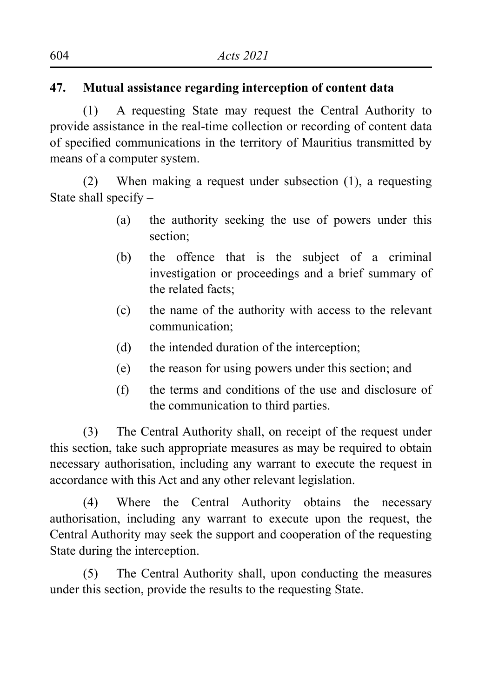# **47. Mutual assistance regarding interception of content data**

(1) A requesting State may request the Central Authority to provide assistance in the real-time collection or recording of content data of specified communications in the territory of Mauritius transmitted by means of a computer system.

(2) When making a request under subsection (1), a requesting State shall specify –

- (a) the authority seeking the use of powers under this section;
- (b) the offence that is the subject of a criminal investigation or proceedings and a brief summary of the related facts;
- (c) the name of the authority with access to the relevant communication;
- (d) the intended duration of the interception;
- (e) the reason for using powers under this section; and
- (f) the terms and conditions of the use and disclosure of the communication to third parties.

(3) The Central Authority shall, on receipt of the request under this section, take such appropriate measures as may be required to obtain necessary authorisation, including any warrant to execute the request in accordance with this Act and any other relevant legislation.

(4) Where the Central Authority obtains the necessary authorisation, including any warrant to execute upon the request, the Central Authority may seek the support and cooperation of the requesting State during the interception.

(5) The Central Authority shall, upon conducting the measures under this section, provide the results to the requesting State.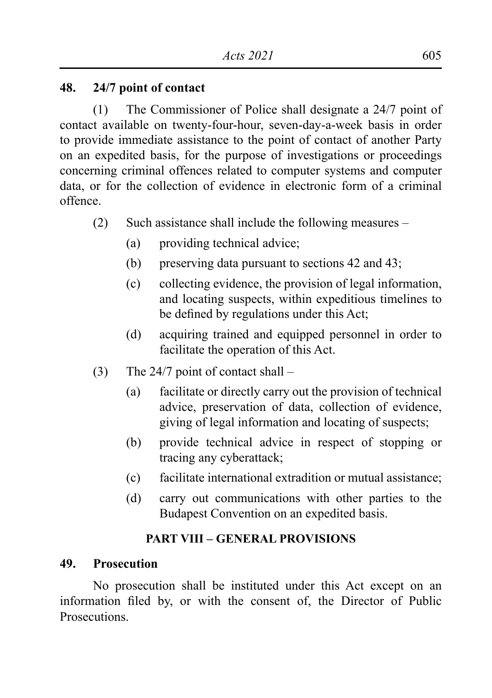#### **48. 24/7 point of contact**

(1) The Commissioner of Police shall designate a 24/7 point of contact available on twenty-four-hour, seven-day-a-week basis in order to provide immediate assistance to the point of contact of another Party on an expedited basis, for the purpose of investigations or proceedings concerning criminal offences related to computer systems and computer data, or for the collection of evidence in electronic form of a criminal offence.

- (2) Such assistance shall include the following measures
	- (a) providing technical advice;
	- (b) preserving data pursuant to sections 42 and 43;
	- (c) collecting evidence, the provision of legal information, and locating suspects, within expeditious timelines to be defined by regulations under this Act;
	- (d) acquiring trained and equipped personnel in order to facilitate the operation of this Act.
- (3) The 24/7 point of contact shall
	- (a) facilitate or directly carry out the provision of technical advice, preservation of data, collection of evidence, giving of legal information and locating of suspects;
	- (b) provide technical advice in respect of stopping or tracing any cyberattack;
	- (c) facilitate international extradition or mutual assistance;
	- (d) carry out communications with other parties to the Budapest Convention on an expedited basis.

## **PART VIII – GENERAL PROVISIONS**

#### **49. Prosecution**

No prosecution shall be instituted under this Act except on an information filed by, or with the consent of, the Director of Public **Prosecutions**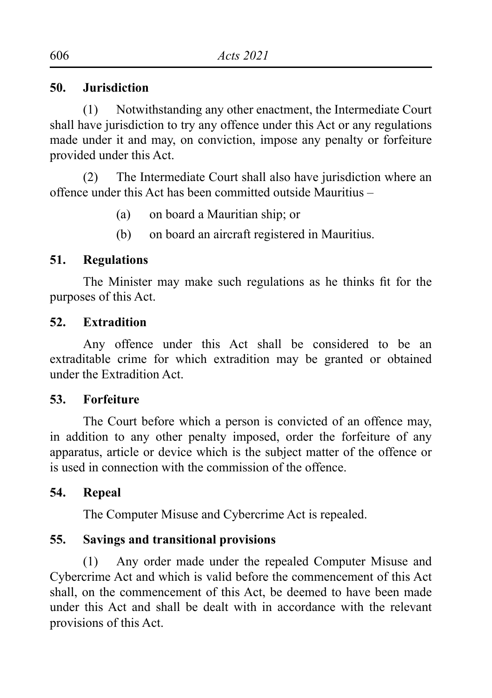#### **50. Jurisdiction**

(1) Notwithstanding any other enactment, the Intermediate Court shall have jurisdiction to try any offence under this Act or any regulations made under it and may, on conviction, impose any penalty or forfeiture provided under this Act.

(2) The Intermediate Court shall also have jurisdiction where an offence under this Act has been committed outside Mauritius –

- (a) on board a Mauritian ship; or
- (b) on board an aircraft registered in Mauritius.

## **51. Regulations**

The Minister may make such regulations as he thinks fit for the purposes of this Act.

#### **52. Extradition**

Any offence under this Act shall be considered to be an extraditable crime for which extradition may be granted or obtained under the Extradition Act.

#### **53. Forfeiture**

The Court before which a person is convicted of an offence may, in addition to any other penalty imposed, order the forfeiture of any apparatus, article or device which is the subject matter of the offence or is used in connection with the commission of the offence.

## **54. Repeal**

The Computer Misuse and Cybercrime Act is repealed.

## **55. Savings and transitional provisions**

(1) Any order made under the repealed Computer Misuse and Cybercrime Act and which is valid before the commencement of this Act shall, on the commencement of this Act, be deemed to have been made under this Act and shall be dealt with in accordance with the relevant provisions of this Act.